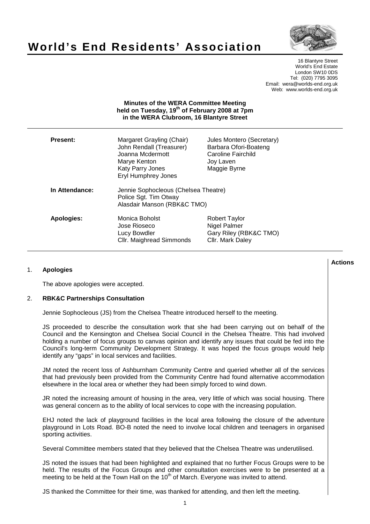# **World's End Residents' Association**



16 Blantyre Street World's End Estate London SW10 0DS Tel: (020) 7795 3095 Email: wera@worlds-end.org.uk Web: www.worlds-end.org.uk

#### **Minutes of the WERA Committee Meeting held on Tuesday, 19th of February 2008 at 7pm in the WERA Clubroom, 16 Blantyre Street**

| <b>Present:</b>   | Margaret Grayling (Chair)<br>John Rendall (Treasurer)<br>Joanna Mcdermott<br>Marye Kenton<br>Katy Parry Jones<br><b>Eryl Humphrey Jones</b> | Jules Montero (Secretary)<br>Barbara Ofori-Boateng<br>Caroline Fairchild<br>Joy Laven<br>Maggie Byrne |
|-------------------|---------------------------------------------------------------------------------------------------------------------------------------------|-------------------------------------------------------------------------------------------------------|
| In Attendance:    | Jennie Sophocleous (Chelsea Theatre)<br>Police Sgt. Tim Otway<br>Alasdair Manson (RBK&C TMO)                                                |                                                                                                       |
| <b>Apologies:</b> | Monica Boholst<br>Jose Rioseco<br>Lucy Bowdler<br>Cllr. Maighread Simmonds                                                                  | <b>Robert Taylor</b><br>Nigel Palmer<br>Gary Riley (RBK&C TMO)<br>Cllr. Mark Daley                    |

## 1. **Apologies**

The above apologies were accepted.

#### 2. **RBK&C Partnerships Consultation**

Jennie Sophocleous (JS) from the Chelsea Theatre introduced herself to the meeting.

JS proceeded to describe the consultation work that she had been carrying out on behalf of the Council and the Kensington and Chelsea Social Council in the Chelsea Theatre. This had involved holding a number of focus groups to canvas opinion and identify any issues that could be fed into the Council's long-term Community Development Strategy. It was hoped the focus groups would help identify any "gaps" in local services and facilities.

JM noted the recent loss of Ashburnham Community Centre and queried whether all of the services that had previously been provided from the Community Centre had found alternative accommodation elsewhere in the local area or whether they had been simply forced to wind down.

JR noted the increasing amount of housing in the area, very little of which was social housing. There was general concern as to the ability of local services to cope with the increasing population.

EHJ noted the lack of playground facilities in the local area following the closure of the adventure playground in Lots Road. BO-B noted the need to involve local children and teenagers in organised sporting activities.

Several Committee members stated that they believed that the Chelsea Theatre was underutilised.

JS noted the issues that had been highlighted and explained that no further Focus Groups were to be held. The results of the Focus Groups and other consultation exercises were to be presented at a meeting to be held at the Town Hall on the  $10<sup>th</sup>$  of March. Everyone was invited to attend.

JS thanked the Committee for their time, was thanked for attending, and then left the meeting.

#### **Lactions のことには、このことにより、このことにより、このことになります。 そのことには、このことにより、このことにより、このことになります。 そのことには、このことにより、このことには、このことにより、このことにより、このことにより、このことにより、このことにより、このことにより、このことにより、このことにより、このことにより、このことにより、このことにより、このことにより、このことによっていることになります。 このこと**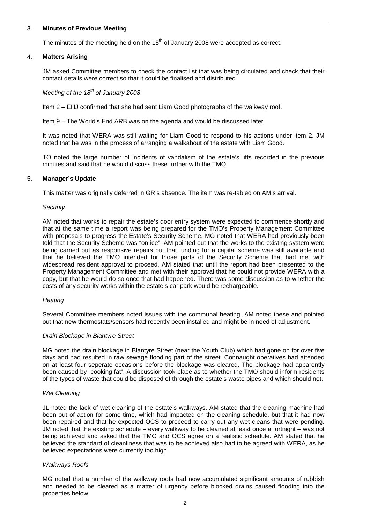## 3. **Minutes of Previous Meeting**

The minutes of the meeting held on the  $15<sup>th</sup>$  of January 2008 were accepted as correct.

#### 4. **Matters Arising**

JM asked Committee members to check the contact list that was being circulated and check that their contact details were correct so that it could be finalised and distributed.

## Meeting of the  $18<sup>th</sup>$  of January 2008

Item 2 – EHJ confirmed that she had sent Liam Good photographs of the walkway roof.

Item 9 – The World's End ARB was on the agenda and would be discussed later.

It was noted that WERA was still waiting for Liam Good to respond to his actions under item 2. JM noted that he was in the process of arranging a walkabout of the estate with Liam Good.

TO noted the large number of incidents of vandalism of the estate's lifts recorded in the previous minutes and said that he would discuss these further with the TMO.

## 5. **Manager's Update**

This matter was originally deferred in GR's absence. The item was re-tabled on AM's arrival.

#### **Security**

AM noted that works to repair the estate's door entry system were expected to commence shortly and that at the same time a report was being prepared for the TMO's Property Management Committee with proposals to progress the Estate's Security Scheme. MG noted that WERA had previously been told that the Security Scheme was "on ice". AM pointed out that the works to the existing system were being carried out as responsive repairs but that funding for a capital scheme was still available and that he believed the TMO intended for those parts of the Security Scheme that had met with widespread resident approval to proceed. AM stated that until the report had been presented to the Property Management Committee and met with their approval that he could not provide WERA with a copy, but that he would do so once that had happened. There was some discussion as to whether the costs of any security works within the estate's car park would be rechargeable.

#### **Heating**

Several Committee members noted issues with the communal heating. AM noted these and pointed out that new thermostats/sensors had recently been installed and might be in need of adjustment.

#### Drain Blockage in Blantyre Street

MG noted the drain blockage in Blantyre Street (near the Youth Club) which had gone on for over five days and had resulted in raw sewage flooding part of the street. Connaught operatives had attended on at least four seperate occasions before the blockage was cleared. The blockage had apparently been caused by "cooking fat". A discussion took place as to whether the TMO should inform residents of the types of waste that could be disposed of through the estate's waste pipes and which should not.

#### Wet Cleaning

JL noted the lack of wet cleaning of the estate's walkways. AM stated that the cleaning machine had been out of action for some time, which had impacted on the cleaning schedule, but that it had now been repaired and that he expected OCS to proceed to carry out any wet cleans that were pending. JM noted that the existing schedule – every walkway to be cleaned at least once a fortnight – was not being achieved and asked that the TMO and OCS agree on a realistic schedule. AM stated that he believed the standard of cleanliness that was to be achieved also had to be agreed with WERA, as he believed expectations were currently too high.

#### Walkways Roofs

MG noted that a number of the walkway roofs had now accumulated significant amounts of rubbish and needed to be cleared as a matter of urgency before blocked drains caused flooding into the properties below.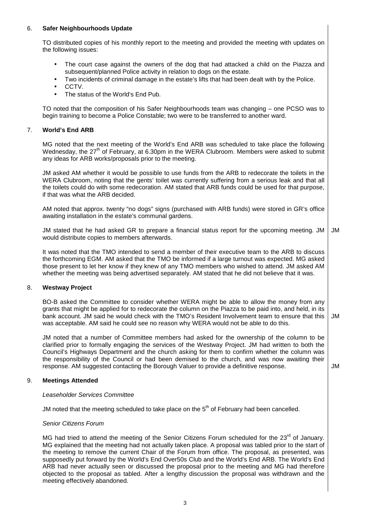## 6. **Safer Neighbourhoods Update**

TO distributed copies of his monthly report to the meeting and provided the meeting with updates on the following issues:

- The court case against the owners of the dog that had attacked a child on the Piazza and subsequent/planned Police activity in relation to dogs on the estate.
- Two incidents of criminal damage in the estate's lifts that had been dealt with by the Police.
- CCTV.
- The status of the World's End Pub.

TO noted that the composition of his Safer Neighbourhoods team was changing – one PCSO was to begin training to become a Police Constable; two were to be transferred to another ward.

#### 7. **World's End ARB**

MG noted that the next meeting of the World's End ARB was scheduled to take place the following Wednesday, the  $27<sup>th</sup>$  of February, at 6.30pm in the WERA Clubroom. Members were asked to submit any ideas for ARB works/proposals prior to the meeting.

JM asked AM whether it would be possible to use funds from the ARB to redecorate the toilets in the WERA Clubroom, noting that the gents' toilet was currently suffering from a serious leak and that all the toilets could do with some redecoration. AM stated that ARB funds could be used for that purpose, if that was what the ARB decided.

AM noted that approx. twenty "no dogs" signs (purchased with ARB funds) were stored in GR's office awaiting installation in the estate's communal gardens.

JM stated that he had asked GR to prepare a financial status report for the upcoming meeting. JM would distribute copies to members afterwards. JM

It was noted that the TMO intended to send a member of their executive team to the ARB to discuss the forthcoming EGM. AM asked that the TMO be informed if a large turnout was expected. MG asked those present to let her know if they knew of any TMO members who wished to attend. JM asked AM whether the meeting was being advertised separately. AM stated that he did not believe that it was.

#### 8. **Westway Project**

BO-B asked the Committee to consider whether WERA might be able to allow the money from any grants that might be applied for to redecorate the column on the Piazza to be paid into, and held, in its bank account. JM said he would check with the TMO's Resident Involvement team to ensure that this was acceptable. AM said he could see no reason why WERA would not be able to do this. JM

JM noted that a number of Committee members had asked for the ownership of the column to be clarified prior to formally engaging the services of the Westway Project. JM had written to both the Council's Highways Department and the church asking for them to confirm whether the column was the responsibility of the Council or had been demised to the church, and was now awaiting their response. AM suggested contacting the Borough Valuer to provide a definitive response.

JM

## 9. **Meetings Attended**

#### Leaseholder Services Committee

JM noted that the meeting scheduled to take place on the  $5<sup>th</sup>$  of February had been cancelled.

#### Senior Citizens Forum

MG had tried to attend the meeting of the Senior Citizens Forum scheduled for the 23<sup>rd</sup> of January. MG explained that the meeting had not actually taken place. A proposal was tabled prior to the start of the meeting to remove the current Chair of the Forum from office. The proposal, as presented, was supposedly put forward by the World's End Over50s Club and the World's End ARB. The World's End ARB had never actually seen or discussed the proposal prior to the meeting and MG had therefore objected to the proposal as tabled. After a lengthy discussion the proposal was withdrawn and the meeting effectively abandoned.